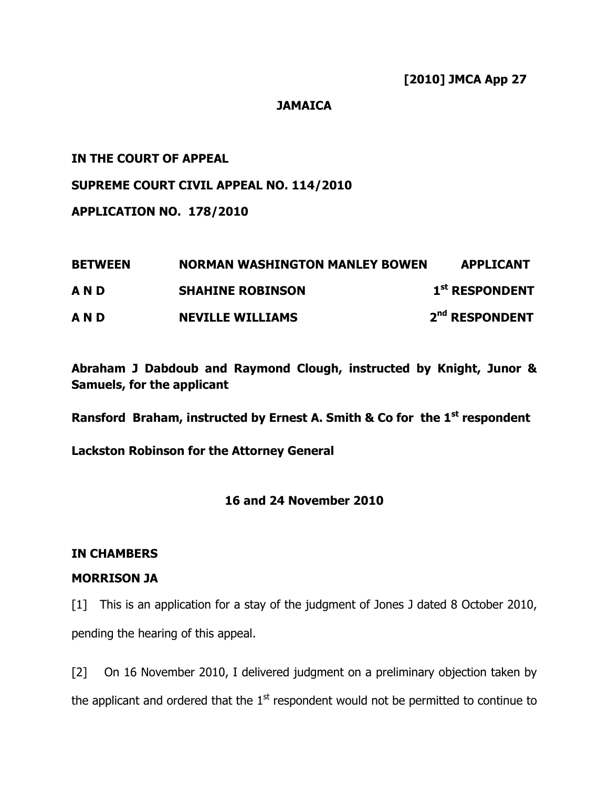### JAMAICA

### IN THE COURT OF APPEAL

#### SUPREME COURT CIVIL APPEAL NO. 114/2010

APPLICATION NO. 178/2010

| <b>BETWEEN</b> | <b>NORMAN WASHINGTON MANLEY BOWEN</b> | <b>APPLICANT</b>           |
|----------------|---------------------------------------|----------------------------|
| AND            | <b>SHAHINE ROBINSON</b>               | 1 <sup>st</sup> RESPONDENT |
| AND            | <b>NEVILLE WILLIAMS</b>               | 2 <sup>nd</sup> RESPONDENT |

Abraham J Dabdoub and Raymond Clough, instructed by Knight, Junor & Samuels, for the applicant

Ransford Braham, instructed by Ernest A. Smith & Co for the  $1<sup>st</sup>$  respondent

Lackston Robinson for the Attorney General

#### 16 and 24 November 2010

## IN CHAMBERS

#### MORRISON JA

[1] This is an application for a stay of the judgment of Jones J dated 8 October 2010, pending the hearing of this appeal.

[2] On 16 November 2010, I delivered judgment on a preliminary objection taken by the applicant and ordered that the  $1<sup>st</sup>$  respondent would not be permitted to continue to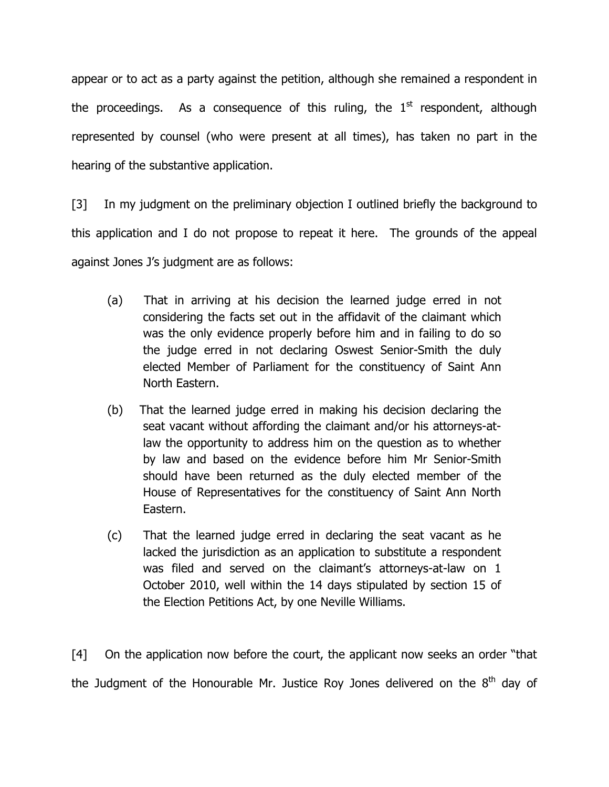appear or to act as a party against the petition, although she remained a respondent in the proceedings. As a consequence of this ruling, the  $1<sup>st</sup>$  respondent, although represented by counsel (who were present at all times), has taken no part in the hearing of the substantive application.

[3] In my judgment on the preliminary objection I outlined briefly the background to this application and I do not propose to repeat it here. The grounds of the appeal against Jones J's judgment are as follows:

- (a) That in arriving at his decision the learned judge erred in not considering the facts set out in the affidavit of the claimant which was the only evidence properly before him and in failing to do so the judge erred in not declaring Oswest Senior-Smith the duly elected Member of Parliament for the constituency of Saint Ann North Eastern.
- (b) That the learned judge erred in making his decision declaring the seat vacant without affording the claimant and/or his attorneys-atlaw the opportunity to address him on the question as to whether by law and based on the evidence before him Mr Senior-Smith should have been returned as the duly elected member of the House of Representatives for the constituency of Saint Ann North Eastern.
- (c) That the learned judge erred in declaring the seat vacant as he lacked the jurisdiction as an application to substitute a respondent was filed and served on the claimant's attorneys-at-law on 1 October 2010, well within the 14 days stipulated by section 15 of the Election Petitions Act, by one Neville Williams.

[4] On the application now before the court, the applicant now seeks an order "that the Judgment of the Honourable Mr. Justice Roy Jones delivered on the  $8<sup>th</sup>$  day of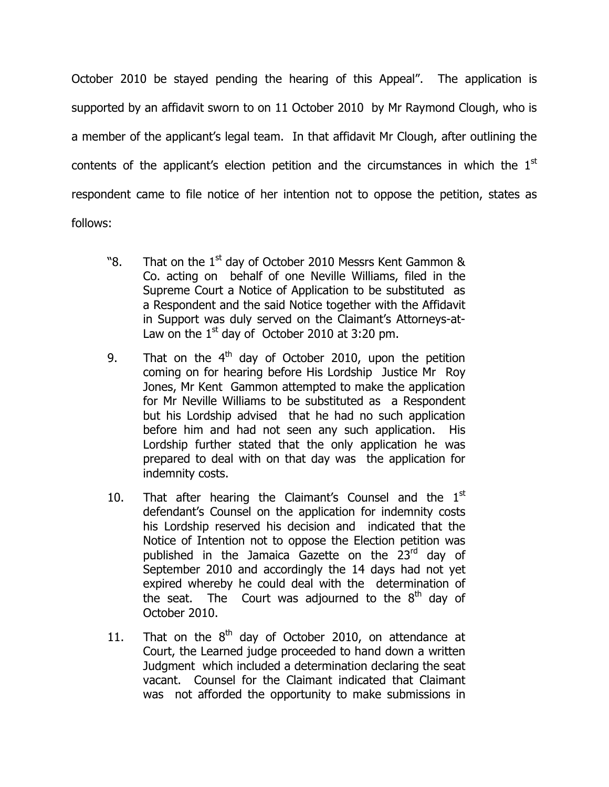October 2010 be stayed pending the hearing of this Appeal". The application is supported by an affidavit sworn to on 11 October 2010 by Mr Raymond Clough, who is a member of the applicant's legal team. In that affidavit Mr Clough, after outlining the contents of the applicant's election petition and the circumstances in which the  $1<sup>st</sup>$ respondent came to file notice of her intention not to oppose the petition, states as follows:

- "8. That on the  $1<sup>st</sup>$  day of October 2010 Messrs Kent Gammon & Co. acting on behalf of one Neville Williams, filed in the Supreme Court a Notice of Application to be substituted as a Respondent and the said Notice together with the Affidavit in Support was duly served on the Claimant's Attorneys-at-Law on the  $1<sup>st</sup>$  day of October 2010 at 3:20 pm.
- 9. That on the  $4<sup>th</sup>$  day of October 2010, upon the petition coming on for hearing before His Lordship Justice Mr Roy Jones, Mr Kent Gammon attempted to make the application for Mr Neville Williams to be substituted as a Respondent but his Lordship advised that he had no such application before him and had not seen any such application. His Lordship further stated that the only application he was prepared to deal with on that day was the application for indemnity costs.
- 10. That after hearing the Claimant's Counsel and the  $1<sup>st</sup>$ defendant's Counsel on the application for indemnity costs his Lordship reserved his decision and indicated that the Notice of Intention not to oppose the Election petition was published in the Jamaica Gazette on the 23rd day of September 2010 and accordingly the 14 days had not yet expired whereby he could deal with the determination of the seat. The Court was adjourned to the  $8<sup>th</sup>$  day of October 2010.
- 11. That on the  $8<sup>th</sup>$  day of October 2010, on attendance at Court, the Learned judge proceeded to hand down a written Judgment which included a determination declaring the seat vacant. Counsel for the Claimant indicated that Claimant was not afforded the opportunity to make submissions in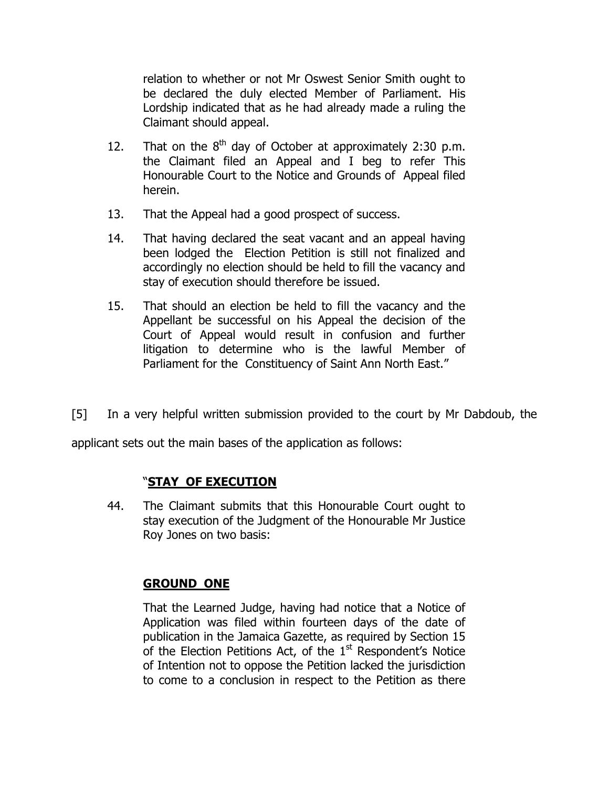relation to whether or not Mr Oswest Senior Smith ought to be declared the duly elected Member of Parliament. His Lordship indicated that as he had already made a ruling the Claimant should appeal.

- 12. That on the  $8<sup>th</sup>$  day of October at approximately 2:30 p.m. the Claimant filed an Appeal and I beg to refer This Honourable Court to the Notice and Grounds of Appeal filed herein.
- 13. That the Appeal had a good prospect of success.
- 14. That having declared the seat vacant and an appeal having been lodged the Election Petition is still not finalized and accordingly no election should be held to fill the vacancy and stay of execution should therefore be issued.
- 15. That should an election be held to fill the vacancy and the Appellant be successful on his Appeal the decision of the Court of Appeal would result in confusion and further litigation to determine who is the lawful Member of Parliament for the Constituency of Saint Ann North East."
- [5] In a very helpful written submission provided to the court by Mr Dabdoub, the

applicant sets out the main bases of the application as follows:

## "STAY OF EXECUTION

44. The Claimant submits that this Honourable Court ought to stay execution of the Judgment of the Honourable Mr Justice Roy Jones on two basis:

## GROUND ONE

That the Learned Judge, having had notice that a Notice of Application was filed within fourteen days of the date of publication in the Jamaica Gazette, as required by Section 15 of the Election Petitions Act, of the  $1<sup>st</sup>$  Respondent's Notice of Intention not to oppose the Petition lacked the jurisdiction to come to a conclusion in respect to the Petition as there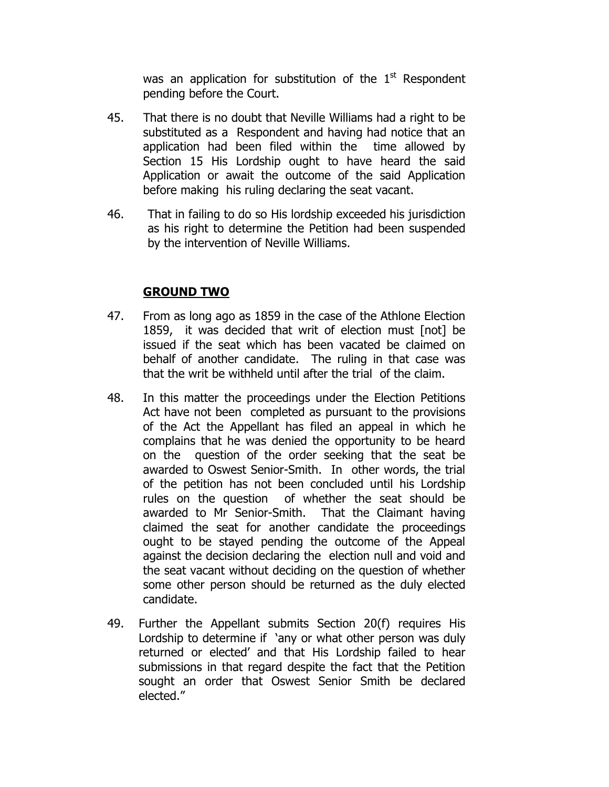was an application for substitution of the  $1<sup>st</sup>$  Respondent pending before the Court.

- 45. That there is no doubt that Neville Williams had a right to be substituted as a Respondent and having had notice that an application had been filed within the time allowed by Section 15 His Lordship ought to have heard the said Application or await the outcome of the said Application before making his ruling declaring the seat vacant.
- 46. That in failing to do so His lordship exceeded his jurisdiction as his right to determine the Petition had been suspended by the intervention of Neville Williams.

# GROUND TWO

- 47. From as long ago as 1859 in the case of the Athlone Election 1859, it was decided that writ of election must [not] be issued if the seat which has been vacated be claimed on behalf of another candidate. The ruling in that case was that the writ be withheld until after the trial of the claim.
- 48. In this matter the proceedings under the Election Petitions Act have not been completed as pursuant to the provisions of the Act the Appellant has filed an appeal in which he complains that he was denied the opportunity to be heard on the question of the order seeking that the seat be awarded to Oswest Senior-Smith. In other words, the trial of the petition has not been concluded until his Lordship rules on the question of whether the seat should be awarded to Mr Senior-Smith. That the Claimant having claimed the seat for another candidate the proceedings ought to be stayed pending the outcome of the Appeal against the decision declaring the election null and void and the seat vacant without deciding on the question of whether some other person should be returned as the duly elected candidate.
- 49. Further the Appellant submits Section 20(f) requires His Lordship to determine if 'any or what other person was duly returned or elected' and that His Lordship failed to hear submissions in that regard despite the fact that the Petition sought an order that Oswest Senior Smith be declared elected."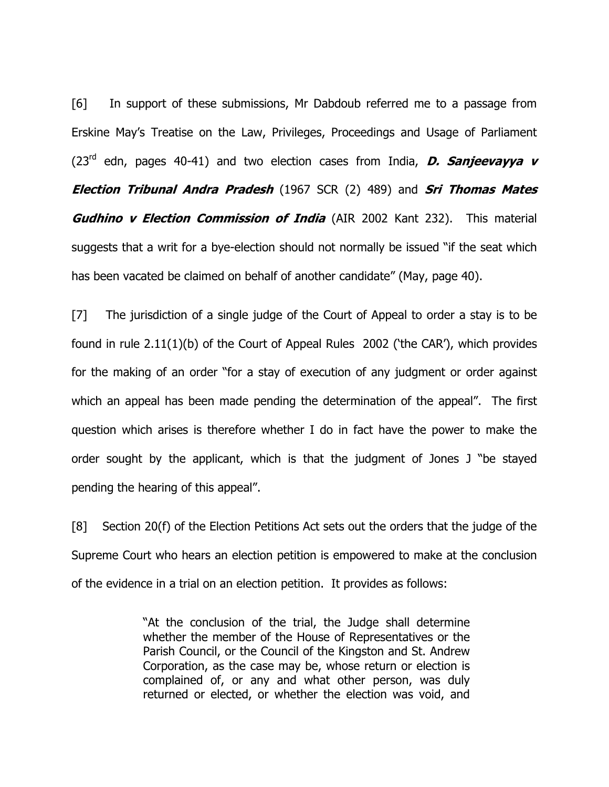[6] In support of these submissions, Mr Dabdoub referred me to a passage from Erskine May's Treatise on the Law, Privileges, Proceedings and Usage of Parliament (23<sup>rd</sup> edn, pages 40-41) and two election cases from India, **D. Sanjeevayya v Election Tribunal Andra Pradesh** (1967 SCR (2) 489) and **Sri Thomas Mates Gudhino v Election Commission of India** (AIR 2002 Kant 232). This material suggests that a writ for a bye-election should not normally be issued "if the seat which has been vacated be claimed on behalf of another candidate" (May, page 40).

[7] The jurisdiction of a single judge of the Court of Appeal to order a stay is to be found in rule 2.11(1)(b) of the Court of Appeal Rules 2002 ('the CAR'), which provides for the making of an order "for a stay of execution of any judgment or order against which an appeal has been made pending the determination of the appeal". The first question which arises is therefore whether I do in fact have the power to make the order sought by the applicant, which is that the judgment of Jones J "be stayed pending the hearing of this appeal".

[8] Section 20(f) of the Election Petitions Act sets out the orders that the judge of the Supreme Court who hears an election petition is empowered to make at the conclusion of the evidence in a trial on an election petition. It provides as follows:

> "At the conclusion of the trial, the Judge shall determine whether the member of the House of Representatives or the Parish Council, or the Council of the Kingston and St. Andrew Corporation, as the case may be, whose return or election is complained of, or any and what other person, was duly returned or elected, or whether the election was void, and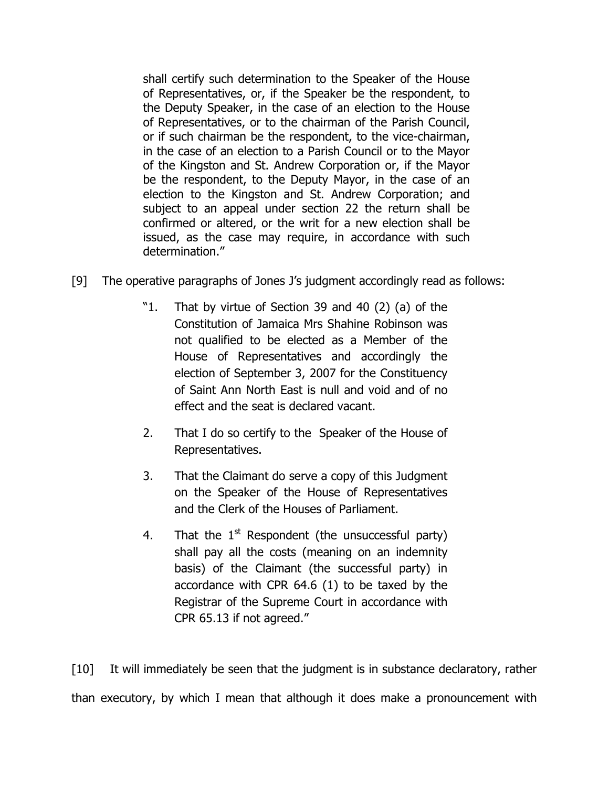shall certify such determination to the Speaker of the House of Representatives, or, if the Speaker be the respondent, to the Deputy Speaker, in the case of an election to the House of Representatives, or to the chairman of the Parish Council, or if such chairman be the respondent, to the vice-chairman, in the case of an election to a Parish Council or to the Mayor of the Kingston and St. Andrew Corporation or, if the Mayor be the respondent, to the Deputy Mayor, in the case of an election to the Kingston and St. Andrew Corporation; and subject to an appeal under section 22 the return shall be confirmed or altered, or the writ for a new election shall be issued, as the case may require, in accordance with such determination."

- [9] The operative paragraphs of Jones J's judgment accordingly read as follows:
	- "1. That by virtue of Section 39 and 40 (2) (a) of the Constitution of Jamaica Mrs Shahine Robinson was not qualified to be elected as a Member of the House of Representatives and accordingly the election of September 3, 2007 for the Constituency of Saint Ann North East is null and void and of no effect and the seat is declared vacant.
	- 2. That I do so certify to the Speaker of the House of Representatives.
	- 3. That the Claimant do serve a copy of this Judgment on the Speaker of the House of Representatives and the Clerk of the Houses of Parliament.
	- 4. That the  $1<sup>st</sup>$  Respondent (the unsuccessful party) shall pay all the costs (meaning on an indemnity basis) of the Claimant (the successful party) in accordance with CPR 64.6 (1) to be taxed by the Registrar of the Supreme Court in accordance with CPR 65.13 if not agreed."

[10] It will immediately be seen that the judgment is in substance declaratory, rather than executory, by which I mean that although it does make a pronouncement with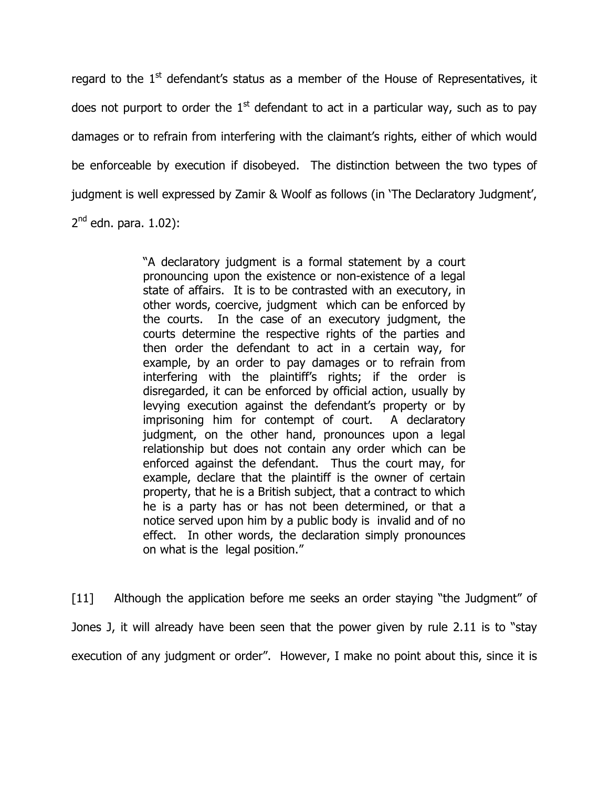regard to the  $1<sup>st</sup>$  defendant's status as a member of the House of Representatives, it does not purport to order the  $1<sup>st</sup>$  defendant to act in a particular way, such as to pay damages or to refrain from interfering with the claimant's rights, either of which would be enforceable by execution if disobeyed. The distinction between the two types of judgment is well expressed by Zamir & Woolf as follows (in 'The Declaratory Judgment', 2<sup>nd</sup> edn. para. 1.02):

> "A declaratory judgment is a formal statement by a court pronouncing upon the existence or non-existence of a legal state of affairs. It is to be contrasted with an executory, in other words, coercive, judgment which can be enforced by the courts. In the case of an executory judgment, the courts determine the respective rights of the parties and then order the defendant to act in a certain way, for example, by an order to pay damages or to refrain from interfering with the plaintiff's rights; if the order is disregarded, it can be enforced by official action, usually by levying execution against the defendant's property or by imprisoning him for contempt of court. A declaratory judgment, on the other hand, pronounces upon a legal relationship but does not contain any order which can be enforced against the defendant. Thus the court may, for example, declare that the plaintiff is the owner of certain property, that he is a British subject, that a contract to which he is a party has or has not been determined, or that a notice served upon him by a public body is invalid and of no effect. In other words, the declaration simply pronounces on what is the legal position."

[11] Although the application before me seeks an order staying "the Judgment" of Jones J, it will already have been seen that the power given by rule 2.11 is to "stay execution of any judgment or order". However, I make no point about this, since it is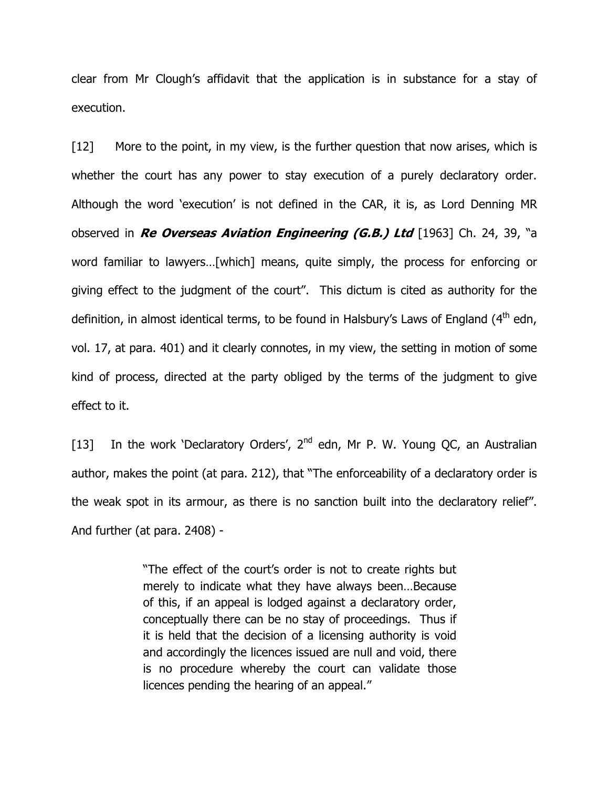clear from Mr Clough's affidavit that the application is in substance for a stay of execution.

[12] More to the point, in my view, is the further question that now arises, which is whether the court has any power to stay execution of a purely declaratory order. Although the word 'execution' is not defined in the CAR, it is, as Lord Denning MR observed in Re Overseas Aviation Engineering (G.B.) Ltd [1963] Ch. 24, 39, "a word familiar to lawyers…[which] means, quite simply, the process for enforcing or giving effect to the judgment of the court". This dictum is cited as authority for the definition, in almost identical terms, to be found in Halsbury's Laws of England  $(4<sup>th</sup>$  edn, vol. 17, at para. 401) and it clearly connotes, in my view, the setting in motion of some kind of process, directed at the party obliged by the terms of the judgment to give effect to it.

[13] In the work 'Declaratory Orders',  $2^{nd}$  edn, Mr P. W. Young QC, an Australian author, makes the point (at para. 212), that "The enforceability of a declaratory order is the weak spot in its armour, as there is no sanction built into the declaratory relief". And further (at para. 2408) -

> "The effect of the court's order is not to create rights but merely to indicate what they have always been…Because of this, if an appeal is lodged against a declaratory order, conceptually there can be no stay of proceedings. Thus if it is held that the decision of a licensing authority is void and accordingly the licences issued are null and void, there is no procedure whereby the court can validate those licences pending the hearing of an appeal."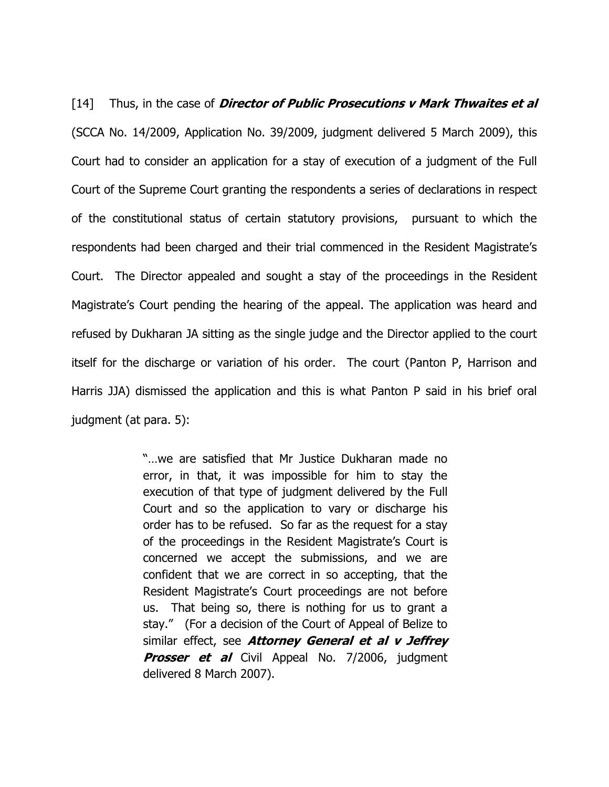[14] Thus, in the case of *Director of Public Prosecutions v Mark Thwaites et al* (SCCA No. 14/2009, Application No. 39/2009, judgment delivered 5 March 2009), this Court had to consider an application for a stay of execution of a judgment of the Full Court of the Supreme Court granting the respondents a series of declarations in respect of the constitutional status of certain statutory provisions, pursuant to which the respondents had been charged and their trial commenced in the Resident Magistrate's Court. The Director appealed and sought a stay of the proceedings in the Resident Magistrate's Court pending the hearing of the appeal. The application was heard and refused by Dukharan JA sitting as the single judge and the Director applied to the court itself for the discharge or variation of his order. The court (Panton P, Harrison and Harris JJA) dismissed the application and this is what Panton P said in his brief oral judgment (at para. 5):

> "…we are satisfied that Mr Justice Dukharan made no error, in that, it was impossible for him to stay the execution of that type of judgment delivered by the Full Court and so the application to vary or discharge his order has to be refused. So far as the request for a stay of the proceedings in the Resident Magistrate's Court is concerned we accept the submissions, and we are confident that we are correct in so accepting, that the Resident Magistrate's Court proceedings are not before us. That being so, there is nothing for us to grant a stay." (For a decision of the Court of Appeal of Belize to similar effect, see **Attorney General et al v Jeffrey Prosser et al** Civil Appeal No. 7/2006, judgment delivered 8 March 2007).